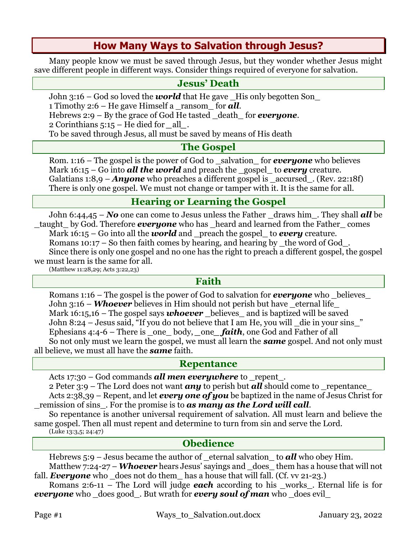# **How Many Ways to Salvation through Jesus?**

Many people know we must be saved through Jesus, but they wonder whether Jesus might save different people in different ways. Consider things required of everyone for salvation.

### **Jesus' Death**

John 3:16 – God so loved the *world* that He gave \_His only begotten Son\_

1 Timothy 2:6 – He gave Himself a \_ransom\_ for *all*.

Hebrews 2:9 – By the grace of God He tasted \_death\_ for *everyone*.

2 Corinthians 5:15 – He died for *\_*all*\_*.

To be saved through Jesus, all must be saved by means of His death

#### **The Gospel**

Rom. 1:16 – The gospel is the power of God to \_salvation\_ for *everyone* who believes Mark 16:15 – Go into **all the world** and preach the gospel to *every* creature. Galatians 1:8,9 – *Anyone* who preaches a different gospel is \_accursed . (Rev. 22:18f) There is only one gospel. We must not change or tamper with it. It is the same for all.

## **Hearing or Learning the Gospel**

John 6:44,45 – *No* one can come to Jesus unless the Father \_draws him\_. They shall *all* be \_taught\_ by God. Therefore *everyone* who has \_heard and learned from the Father\_ comes Mark 16:15 – Go into all the *world* and \_preach the gospel\_ to *every* creature. Romans  $10:17$  – So then faith comes by hearing, and hearing by  $\pm$  the word of God $\pm$ . Since there is only one gospel and no one has the right to preach a different gospel, the gospel we must learn is the same for all.

(Matthew 11:28,29; Acts 3:22,23)

#### **Faith**

Romans 1:16 – The gospel is the power of God to salvation for *everyone* who \_believes\_ John 3:16 – *Whoever* believes in Him should not perish but have eternal life Mark 16:15,16 – The gospel says *whoever* believes and is baptized will be saved John 8:24 – Jesus said, "If you do not believe that I am He, you will \_die in your sins\_" Ephesians 4:4-6 – There is \_one\_ body, *\_*one*\_ faith*, one God and Father of all So not only must we learn the gospel, we must all learn the *same* gospel. And not only must all believe, we must all have the *same* faith.

#### **Repentance**

Acts 17:30 – God commands **all men everywhere** to repent.

2 Peter 3:9 – The Lord does not want *any* to perish but *all* should come to \_repentance\_ Acts 2:38,39 – Repent, and let *every one of you* be baptized in the name of Jesus Christ for \_remission of sins\_. For the promise is to *as many as the Lord will call*.

So repentance is another universal requirement of salvation. All must learn and believe the same gospel. Then all must repent and determine to turn from sin and serve the Lord.

(Luke 13:3,5; 24:47)

### **Obedience**

Hebrews 5:9 – Jesus became the author of eternal salvation to **all** who obey Him.

Matthew 7:24-27 – *Whoever* hears Jesus' sayings and \_does\_ them has a house that will not fall. **Everyone** who  $\phi$  does not do them has a house that will fall. (Cf. vv 21-23.)

Romans 2:6-11 – The Lord will judge **each** according to his \_works\_. Eternal life is for *everyone* who \_does good . But wrath for *every soul of man* who \_does evil